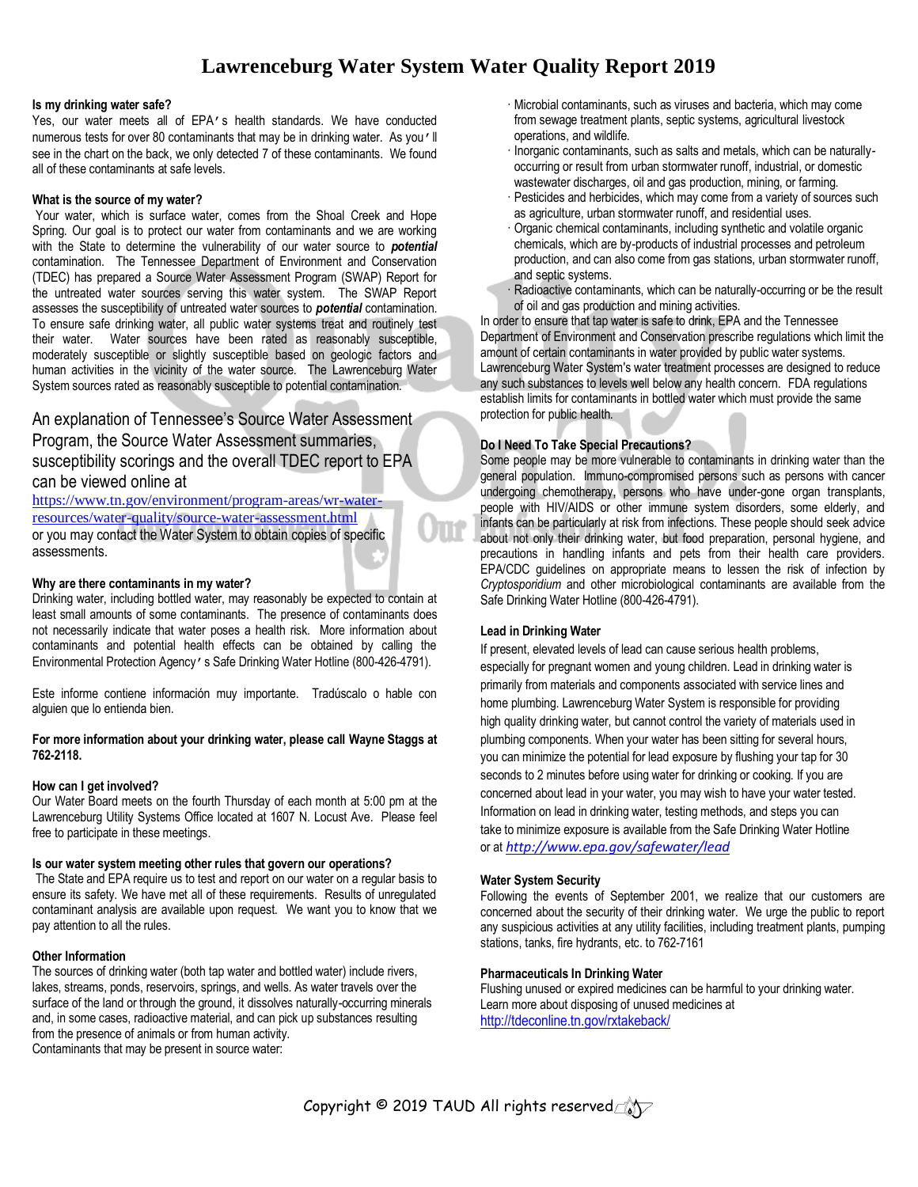# **Lawrenceburg Water System Water Quality Report 2019**

JTP

#### **Is my drinking water safe?**

Yes, our water meets all of EPA's health standards. We have conducted numerous tests for over 80 contaminants that may be in drinking water. As you'll see in the chart on the back, we only detected 7 of these contaminants. We found all of these contaminants at safe levels.

#### **What is the source of my water?**

Your water, which is surface water, comes from the Shoal Creek and Hope Spring. Our goal is to protect our water from contaminants and we are working with the State to determine the vulnerability of our water source to *potential* contamination. The Tennessee Department of Environment and Conservation (TDEC) has prepared a Source Water Assessment Program (SWAP) Report for the untreated water sources serving this water system. The SWAP Report assesses the susceptibility of untreated water sources to *potential* contamination. To ensure safe drinking water, all public water systems treat and routinely test their water. Water sources have been rated as reasonably susceptible, moderately susceptible or slightly susceptible based on geologic factors and human activities in the vicinity of the water source. The Lawrenceburg Water System sources rated as reasonably susceptible to potential contamination.

# An explanation of Tennessee's Source Water Assessment Program, the Source Water Assessment summaries, susceptibility scorings and the overall TDEC report to EPA can be viewed online at

[https://www.tn.gov/environment/program-areas/wr-water](https://www.tn.gov/environment/program-areas/wr-water-resources/water-quality/source-water-assessment.html)[resources/water-quality/source-water-assessment.html](https://www.tn.gov/environment/program-areas/wr-water-resources/water-quality/source-water-assessment.html) or you may contact the Water System to obtain copies of specific assessments.

# **Why are there contaminants in my water?**

Drinking water, including bottled water, may reasonably be expected to contain at least small amounts of some contaminants. The presence of contaminants does not necessarily indicate that water poses a health risk. More information about contaminants and potential health effects can be obtained by calling the Environmental Protection Agency's Safe Drinking Water Hotline (800-426-4791).

Este informe contiene información muy importante. Tradúscalo o hable con alguien que lo entienda bien.

### **For more information about your drinking water, please call Wayne Staggs at 762-2118.**

#### **How can I get involved?**

Our Water Board meets on the fourth Thursday of each month at 5:00 pm at the Lawrenceburg Utility Systems Office located at 1607 N. Locust Ave. Please feel free to participate in these meetings.

# **Is our water system meeting other rules that govern our operations?**

The State and EPA require us to test and report on our water on a regular basis to ensure its safety. We have met all of these requirements. Results of unregulated contaminant analysis are available upon request. We want you to know that we pay attention to all the rules.

# **Other Information**

The sources of drinking water (both tap water and bottled water) include rivers, lakes, streams, ponds, reservoirs, springs, and wells. As water travels over the surface of the land or through the ground, it dissolves naturally-occurring minerals and, in some cases, radioactive material, and can pick up substances resulting from the presence of animals or from human activity. Contaminants that may be present in source water:

- · Microbial contaminants, such as viruses and bacteria, which may come from sewage treatment plants, septic systems, agricultural livestock operations, and wildlife.
- · Inorganic contaminants, such as salts and metals, which can be naturallyoccurring or result from urban stormwater runoff, industrial, or domestic wastewater discharges, oil and gas production, mining, or farming.
- · Pesticides and herbicides, which may come from a variety of sources such as agriculture, urban stormwater runoff, and residential uses.
- · Organic chemical contaminants, including synthetic and volatile organic chemicals, which are by-products of industrial processes and petroleum production, and can also come from gas stations, urban stormwater runoff, and septic systems.
- Radioactive contaminants, which can be naturally-occurring or be the result of oil and gas production and mining activities.

In order to ensure that tap water is safe to drink, EPA and the Tennessee Department of Environment and Conservation prescribe regulations which limit the amount of certain contaminants in water provided by public water systems. Lawrenceburg Water System's water treatment processes are designed to reduce any such substances to levels well below any health concern. FDA regulations establish limits for contaminants in bottled water which must provide the same protection for public health.

# **Do I Need To Take Special Precautions?**

Some people may be more vulnerable to contaminants in drinking water than the general population. Immuno-compromised persons such as persons with cancer undergoing chemotherapy, persons who have under-gone organ transplants, people with HIV/AIDS or other immune system disorders, some elderly, and infants can be particularly at risk from infections. These people should seek advice about not only their drinking water, but food preparation, personal hygiene, and precautions in handling infants and pets from their health care providers. EPA/CDC guidelines on appropriate means to lessen the risk of infection by *Cryptosporidium* and other microbiological contaminants are available from the Safe Drinking Water Hotline (800-426-4791).

### **Lead in Drinking Water**

If present, elevated levels of lead can cause serious health problems, especially for pregnant women and young children. Lead in drinking water is primarily from materials and components associated with service lines and home plumbing. Lawrenceburg Water System is responsible for providing high quality drinking water, but cannot control the variety of materials used in plumbing components. When your water has been sitting for several hours, you can minimize the potential for lead exposure by flushing your tap for 30 seconds to 2 minutes before using water for drinking or cooking. If you are concerned about lead in your water, you may wish to have your water tested. Information on lead in drinking water, testing methods, and steps you can take to minimize exposure is available from the Safe Drinking Water Hotline or at *<http://www.epa.gov/safewater/lead>*

#### **Water System Security**

Following the events of September 2001, we realize that our customers are concerned about the security of their drinking water. We urge the public to report any suspicious activities at any utility facilities, including treatment plants, pumping stations, tanks, fire hydrants, etc. to 762-7161

#### **Pharmaceuticals In Drinking Water**

Flushing unused or expired medicines can be harmful to your drinking water. Learn more about disposing of unused medicines at <http://tdeconline.tn.gov/rxtakeback/>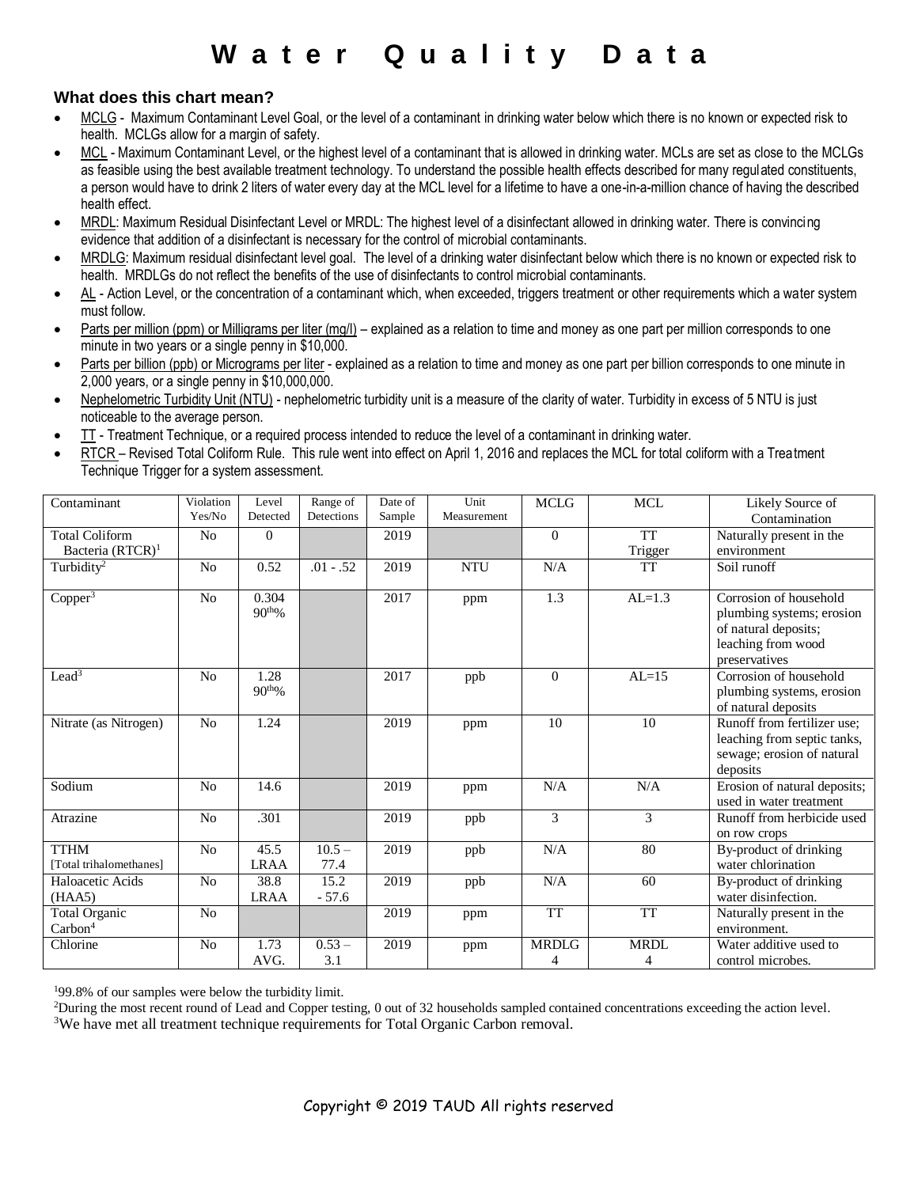# **W a t e r Q u a l i t y D a t a**

# **What does this chart mean?**

- MCLG Maximum Contaminant Level Goal, or the level of a contaminant in drinking water below which there is no known or expected risk to health. MCLGs allow for a margin of safety.
- MCL Maximum Contaminant Level, or the highest level of a contaminant that is allowed in drinking water. MCLs are set as close to the MCLGs as feasible using the best available treatment technology. To understand the possible health effects described for many regulated constituents, a person would have to drink 2 liters of water every day at the MCL level for a lifetime to have a one-in-a-million chance of having the described health effect.
- MRDL: Maximum Residual Disinfectant Level or MRDL: The highest level of a disinfectant allowed in drinking water. There is convincing evidence that addition of a disinfectant is necessary for the control of microbial contaminants.
- MRDLG: Maximum residual disinfectant level goal. The level of a drinking water disinfectant below which there is no known or expected risk to health. MRDLGs do not reflect the benefits of the use of disinfectants to control microbial contaminants.
- AL Action Level, or the concentration of a contaminant which, when exceeded, triggers treatment or other requirements which a water system must follow.
- Parts per million (ppm) or Milligrams per liter (mg/l) explained as a relation to time and money as one part per million corresponds to one minute in two years or a single penny in \$10,000.
- Parts per billion (ppb) or Micrograms per liter explained as a relation to time and money as one part per billion corresponds to one minute in 2,000 years, or a single penny in \$10,000,000.
- Nephelometric Turbidity Unit (NTU) nephelometric turbidity unit is a measure of the clarity of water. Turbidity in excess of 5 NTU is just noticeable to the average person.
- TT Treatment Technique, or a required process intended to reduce the level of a contaminant in drinking water.
- RTCR Revised Total Coliform Rule. This rule went into effect on April 1, 2016 and replaces the MCL for total coliform with a Treatment Technique Trigger for a system assessment.

| Contaminant                            | Violation      | Level                       | Range of         | Date of | Unit        | <b>MCLG</b>  | <b>MCL</b>  | Likely Source of                                                                                                   |
|----------------------------------------|----------------|-----------------------------|------------------|---------|-------------|--------------|-------------|--------------------------------------------------------------------------------------------------------------------|
|                                        | Yes/No         | Detected                    | Detections       | Sample  | Measurement |              |             | Contamination                                                                                                      |
| <b>Total Coliform</b>                  | N <sub>0</sub> | $\Omega$                    |                  | 2019    |             | $\Omega$     | <b>TT</b>   | Naturally present in the                                                                                           |
| Bacteria (RTCR) <sup>1</sup>           |                |                             |                  |         |             |              | Trigger     | environment                                                                                                        |
| Turbidity <sup>2</sup>                 | N <sub>o</sub> | 0.52                        | $.01 - .52$      | 2019    | <b>NTU</b>  | N/A          | TT          | Soil runoff                                                                                                        |
| Copper $3$                             | N <sub>o</sub> | 0.304<br>90 <sup>th</sup> % |                  | 2017    | ppm         | 1.3          | $AL=1.3$    | Corrosion of household<br>plumbing systems; erosion<br>of natural deposits;<br>leaching from wood<br>preservatives |
| Lead <sup>3</sup>                      | N <sub>o</sub> | 1.28<br>90 <sup>th</sup> %  |                  | 2017    | ppb         | $\Omega$     | $AL=15$     | Corrosion of household<br>plumbing systems, erosion<br>of natural deposits                                         |
| Nitrate (as Nitrogen)                  | No             | 1.24                        |                  | 2019    | ppm         | 10           | 10          | Runoff from fertilizer use;<br>leaching from septic tanks,<br>sewage; erosion of natural<br>deposits               |
| Sodium                                 | N <sub>o</sub> | 14.6                        |                  | 2019    | ppm         | N/A          | N/A         | Erosion of natural deposits;<br>used in water treatment                                                            |
| Atrazine                               | No             | .301                        |                  | 2019    | ppb         | 3            | 3           | Runoff from herbicide used<br>on row crops                                                                         |
| <b>TTHM</b><br>[Total trihalomethanes] | No             | 45.5<br><b>LRAA</b>         | $10.5 -$<br>77.4 | 2019    | ppb         | N/A          | 80          | By-product of drinking<br>water chlorination                                                                       |
| Haloacetic Acids<br>(HAA5)             | N <sub>o</sub> | 38.8<br><b>LRAA</b>         | 15.2<br>$-57.6$  | 2019    | ppb         | N/A          | 60          | By-product of drinking<br>water disinfection.                                                                      |
| Total Organic<br>Carbon <sup>4</sup>   | No             |                             |                  | 2019    | ppm         | <b>TT</b>    | <b>TT</b>   | Naturally present in the<br>environment.                                                                           |
| Chlorine                               | N <sub>o</sub> | 1.73                        | $0.53 -$         | 2019    | ppm         | <b>MRDLG</b> | <b>MRDL</b> | Water additive used to                                                                                             |
|                                        |                | AVG.                        | 3.1              |         |             | 4            | 4           | control microbes.                                                                                                  |

<sup>1</sup>99.8% of our samples were below the turbidity limit.

<sup>2</sup>During the most recent round of Lead and Copper testing, 0 out of 32 households sampled contained concentrations exceeding the action level.

<sup>3</sup>We have met all treatment technique requirements for Total Organic Carbon removal.